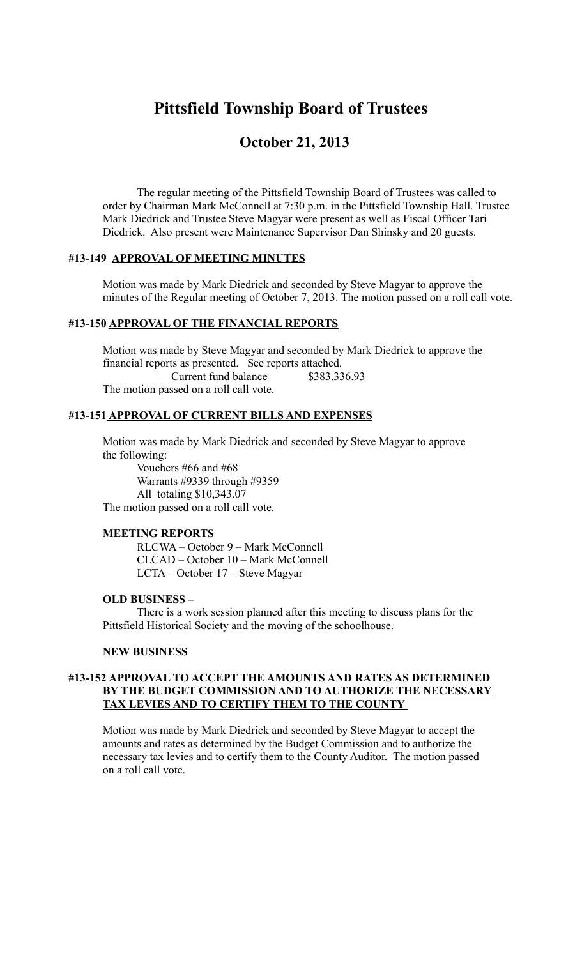# **Pittsfield Township Board of Trustees**

## **October 21, 2013**

The regular meeting of the Pittsfield Township Board of Trustees was called to order by Chairman Mark McConnell at 7:30 p.m. in the Pittsfield Township Hall. Trustee Mark Diedrick and Trustee Steve Magyar were present as well as Fiscal Officer Tari Diedrick. Also present were Maintenance Supervisor Dan Shinsky and 20 guests.

#### **#13-149 APPROVAL OF MEETING MINUTES**

Motion was made by Mark Diedrick and seconded by Steve Magyar to approve the minutes of the Regular meeting of October 7, 2013. The motion passed on a roll call vote.

#### **#13-150 APPROVAL OF THE FINANCIAL REPORTS**

Motion was made by Steve Magyar and seconded by Mark Diedrick to approve the financial reports as presented. See reports attached. Current fund balance \$383,336.93 The motion passed on a roll call vote.

#### **#13-151 APPROVAL OF CURRENT BILLS AND EXPENSES**

Motion was made by Mark Diedrick and seconded by Steve Magyar to approve the following:

 Vouchers #66 and #68 Warrants #9339 through #9359 All totaling \$10,343.07 The motion passed on a roll call vote.

#### **MEETING REPORTS**

RLCWA – October 9 – Mark McConnell CLCAD – October 10 – Mark McConnell LCTA – October 17 – Steve Magyar

#### **OLD BUSINESS –**

There is a work session planned after this meeting to discuss plans for the Pittsfield Historical Society and the moving of the schoolhouse.

#### **NEW BUSINESS**

#### **#13-152 APPROVAL TO ACCEPT THE AMOUNTS AND RATES AS DETERMINED BY THE BUDGET COMMISSION AND TO AUTHORIZE THE NECESSARY TAX LEVIES AND TO CERTIFY THEM TO THE COUNTY**

Motion was made by Mark Diedrick and seconded by Steve Magyar to accept the amounts and rates as determined by the Budget Commission and to authorize the necessary tax levies and to certify them to the County Auditor. The motion passed on a roll call vote.